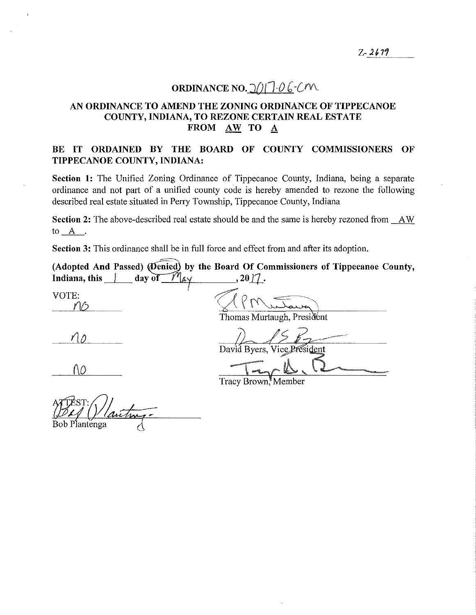# **ORDINANCE NO.**  $\frac{\gamma}{1}$   $\frac{\gamma}{1}$   $\frac{\gamma}{\gamma}$   $\frac{\gamma}{\gamma}$

## **AN ORDINANCE TO AMEND THE ZONING ORDINANCE OF TIPPECANOE COUNTY, INDIANA, TO REZONE CERTAIN REAL ESTATE FROM AW TO A**

## **BE IT ORDAINED BY THE BOARD OF COUNTY COMMISSIONERS OF TIPPECANOE COUNTY, INDIANA:**

**Section 1:** The Unified Zoning Ordinance of Tippecanoe County, Indiana, being a separate ordinance and not part of a unified county code is hereby amended to rezone the following described real estate situated in Perry Township, Tippecanoe County, Indiana

**Section 2:** The above-described real estate should be and the same is hereby rezoned from AW to\_A\_.

**Section 3:** This ordinance shall be in full force and effect from and after its adoption.

(Adopted And Passed) *(Denied)* by the Board Of Commissioners of Tippecanoe County, **Indiana, this day of**  $\mathcal{M}_{\alpha\gamma}$  **, 20 \left**.  $VOTE:$   $\sqrt{P_{\text{N}}\sqrt{2}}$ Thomas Murtaugh, President

 $\frac{1}{2}$  *David Byers*. Vice President 10 Tyck R

Tracy Brown<sup>\*</sup>Member

Bob Plantenga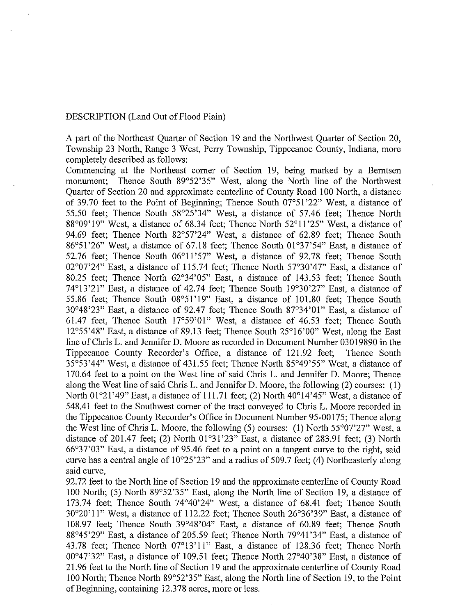#### DESCRJPTION (Land Out of Flood Plain)

A part of the Northeast Quarter of Section 19 and the Northwest Quarter of Section 20, Township 23 North, Range 3 West, Peny Township, Tippecanoe County, Indiana, more completely described as follows:

Commencing at the Northeast comer of Section 19, being marked by a Berntsen monument; Thence South 89°52'35" West, along the North line of the Northwest Quarter of Section 20 and approximate centerline of County Road 100 North, a distance of 39.70 feet to the Point of Beginning; Thence South 07°51 '22" West, a distance of 55.50 feet; Thence South 58°25'34" West, a distance of 57.46 feet; Thence North 88°09'19" West, a distance of 68.34 feet; Thence North 52°11 '25" West, a distance of 94.69 feet; Thence North 82°57'24" West, a distance of 62.89 feet; Thence South 86°51'26" West, a distance of 67.18 feet; Thence South 01°37'54" East, a distance of 52.76 feet; Thence South 06°11 '57" West, a distance of 92.78 feet; Thence South 02°07'24" East, a distance of 115.74 feet; Thence North 57°30'47" East, a distance of 80.25 feet; Thence North 62°34'05" East, a distance of 143.53 feet; Thence South 74°13'21" East, a distance of 42.74 feet; Thence South 19°30'27" East, a distance of 55.86 feet; Thence South 08°51 '19" East, a distance of 101.80 feet; Thence South 30°48'23" East, a distance of 92.47 feet; Thence South 87°34'01" East, a distance of 61.47 feet, Thence South 17°59'01" West, a distance of 46.53 feet; Thence South 12°55'48" East, a distance of 89.13 feet; Thence South 25°16'00" West, along the East line of Chris L. and Jennifer D. Moore as recorded in Document Number 03019890 in the Tippecanoe County Recorder's Office, a distance of 121.92 feet; Thence South 35°53'44" West, a distance of 431.55 feet; Thence North 85°49'55" West, a distance of 170.64 feet to a point on the West line of said Chris L. and Jennifer D. Moore; Thence along the West line of said Chris L. and Jennifer D. Moore, the following (2) courses: (1) North 01°21'49" East, a distance of 111.71 feet; (2) North  $40^{\circ}14'45"$  West, a distance of 548.41 feet to the Southwest comer of the tract conveyed to Chris L. Moore recorded in the Tippecanoe County Recorder's Office in Document Number 95-00175; Thence along the West line of Chris L. Moore, the following  $(5)$  courses:  $(1)$  North 55°07'27" West, a distance of 201.47 feet; (2) North 01°31 '23" East, a distance of 283.91 feet; (3) North 66°37'03" East, a distance of 95.46 feet to a point on a tangent curve to the right, said curve has a central angle of 10°25'23" and a radius of 509.7 feet; (4) Northeasterly along said curve,

92. 72 feet to the North line of Section 19 and the approximate centerline of County Road 100 North; (5) North 89°52'35" East, along the North line of Section 19, a distance of 173.74 feet; Thence South 74°40'24" West, a distance of 68.41 feet; Thence South 30°20'1 l" West, a distance of 112.22 feet; Thence South 26°36'39" East, a distance of 108.97 feet; Thence South 39°48'04" East, a distance of 60.89 feet; Thence South 88°45'29" East, a distance of 205.59 feet; Thence North 79°41'34" East, a distance of 43.78 feet; Thence North 07°13'11" East, a distance of 128.36 feet; Thence North 00°47'32" East, a distance of 109.51 feet; Thence North 27°40'38" East, a distance of 21.96 feet to the North line of Section 19 and the approximate centerline of County Road 100 North; Thence North 89°52'35" East, along the North line of Section 19, to the Point of Beginning, containing 12.378 acres, more or less.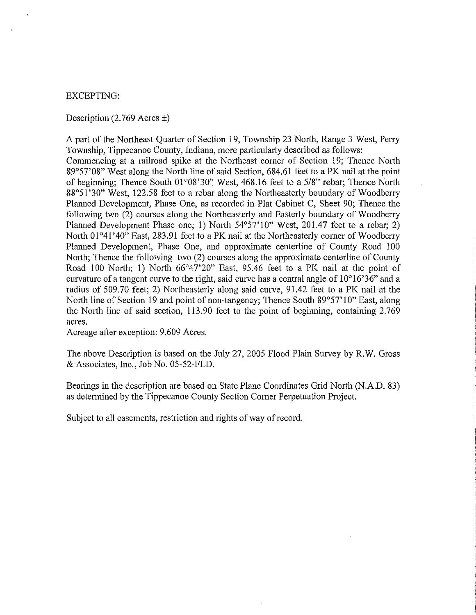#### EXCEPTING:

Description (2.769 Acres  $\pm$ )

A part of the Northeast Quarter of Section 19, Township 23 North, Range 3 West, Perry Township, Tippecanoe County, Indiana, more particularly described as follows: Commencing at a railroad spike at the Northeast corner of Section 19; Thence North 89°57'08" West along the North line of said Section, 684.61 feet to a PK nail at the point of beginning; Thence South 01°08'30" West, 468.16 feet to a 5/8" rebar; Thence North 88°51'30" West, 122.58 feet to a rebar along the Northeasterly boundary of Woodberry Planned Development, Phase One, as recorded in Plat Cabinet C, Sheet 90; Thence the following two (2) courses along the Northeasterly and Easterly boundary of Woodberry Planned Development Phase one; 1) North 54°57'10" West, 201.47 feet to a rebar; 2) North 01°41'40" East, 283.91 feet to a PK nail at the Northeasterly corner of Woodberry Planned Development, Phase One, and approximate centerline of County Road 100 North; Thence the following two (2) courses along the approximate centerline of County Road 100 North; **1)** North 66°47'20" East, 95.46 feet to a PK nail at the point of curvature of a tangent curve to the right, said curve has a central angle of  $10^{\circ}16'36"$  and a radius of 509.70 feet; 2) Northeasterly along said curve, 91.42 feet to a PK nail at the North line of Section 19 and point of non-tangency; Thence South 89°57'10" East, along the North line of said section, 113.90 feet to the point of beginning, containing 2.769 acres.

Acreage after exception: 9.609 Acres.

The above Description is based on the July 27, 2005 Flood Plain Survey by R. W. Gross & Associates, Inc., Job No. 05-52-FLD.

Bearings in the description are based on State Plane Coordinates Grid North (N.A.D. 83) as determined by the Tippecanoe County Section Corner Perpetuation Project.

Subject to all easements, restriction and rights of way of record.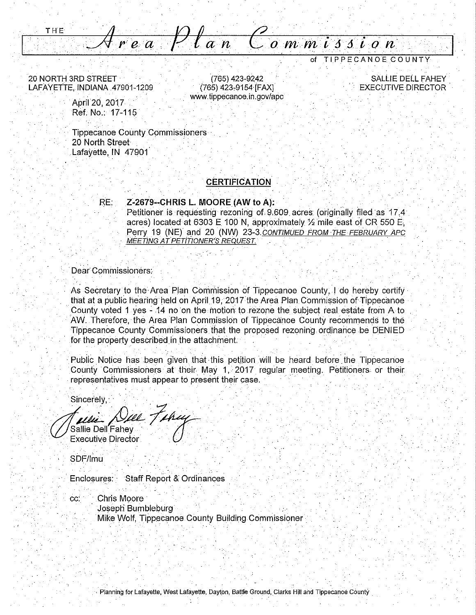THE Area Plan Commission

20 NORTH 3RD STREET · LAFAYETTE, INDIANA .47901-1209

> April 20, 2017 Ref; No.: 17-115

**Tippecanoe County Commissioners** 20 North. Street Lafayette, **IN** 47901°

#### **CERTIFICATION**  , .. - - . - ' - - . ' . . . .

(765) 423-9242 (765) 423,9154 [FAX] www.tippecanoe.in.gov/apc

#### **RE: Z-2679--CHRIS L. MOORE (AW to A):**

Petitioner is requesting rezoning of 9.609 acres (originally filed as 17.4 acres) located at 6303 **E** 100 **N,** approximately% mile east of CR 550 E, Perry 19 **(NE)** and 20 (NW) 23-3.CONTIMUED FROM THE FEBRUARY APC MEETING AT PETITIONER'S REQUEST.

#### Dear Commissioners:

As Secretary to the Area Plan Commission of Tippecanoe County, I do hereby certify that at a public hearing held on April 19, 2017 the Area Plan Commission of Tippecanoe County voted **1** yes ~ 14 no on the motion to rezone the subject real estate from A to AW. Therefore, the Area Plan Commission of Tippecanoe County recommends to the Tippecanoe County Commissioners that the proposed rezoning. ordinance be D.ENIED for the property described in the attachment.

Public Notice has been given that this petition will be heard before the Tippecanoe County Commissioners at their May **1,** 2017 regular meeting. Petitioners or their representatives must appear to present their case.

Sincerely,<br>*(ului\_ Dull Tuhuy*<br>Sallie Dell'Fahey

**Executive Director** 

SDF/lmu

Enclosures: Staff Report & Ordinances

cc: Chris Moore Joseph Bumbleburg· Mike Wolf, Tippecanoe County Building Commissioner

. In the set of the set of the set of the set of the set of the set of the set of the set of the set of the set of the set of the set of the set of the set of the set of the set of the set of the set of the set of the set

of TIPPECANOECOUNTY

SALLIE DELL FAHEY. EXECUTIVE DIRECTOR .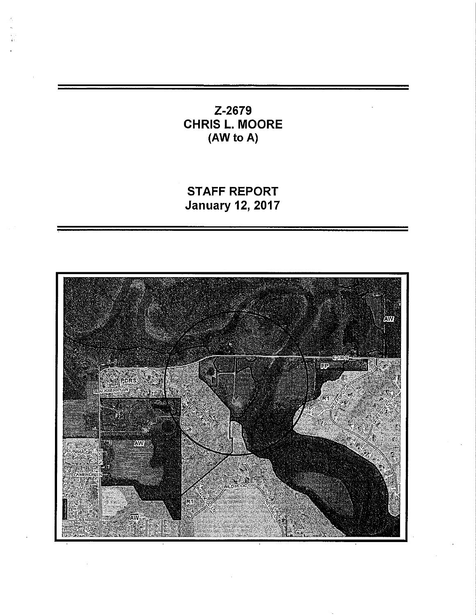# Z-2679 CHRIS L. MOORE (AW to A)

STAFF REPORT January 12, 2017